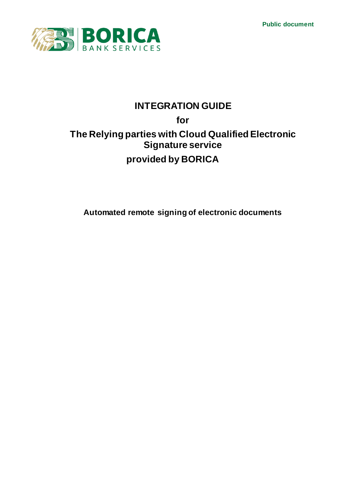**Public document**



# **INTEGRATION GUIDE for The Relying parties with Cloud Qualified Electronic Signature service provided by BORICA**

**Automated remote signing of electronic documents**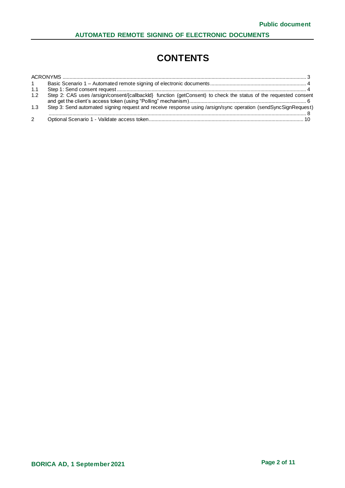# **CONTENTS**

| 1.1 |                                                                                                                  |
|-----|------------------------------------------------------------------------------------------------------------------|
| 1.2 | Step 2: CAS uses /arsign/consent/{callbackld} function (getConsent) to check the status of the requested consent |
| 1.3 | Step 3: Send automated signing request and receive response using /arsign/sync operation (sendSyncSignRequest)   |
|     |                                                                                                                  |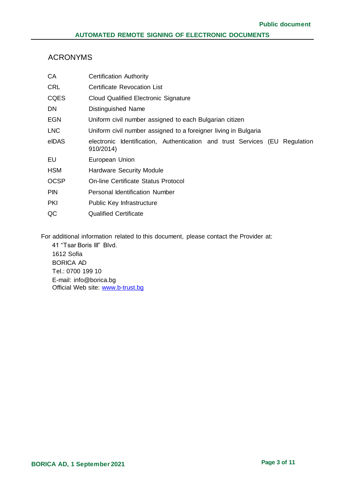## <span id="page-2-0"></span>ACRONYMS

| <b>Certification Authority</b>                                                           |  |  |
|------------------------------------------------------------------------------------------|--|--|
| <b>Certificate Revocation List</b>                                                       |  |  |
| Cloud Qualified Electronic Signature                                                     |  |  |
| Distinguished Name                                                                       |  |  |
| Uniform civil number assigned to each Bulgarian citizen                                  |  |  |
| Uniform civil number assigned to a foreigner living in Bulgaria                          |  |  |
| electronic Identification, Authentication and trust Services (EU Regulation<br>910/2014) |  |  |
| European Union                                                                           |  |  |
| <b>Hardware Security Module</b>                                                          |  |  |
| On-line Certificate Status Protocol                                                      |  |  |
| Personal Identification Number                                                           |  |  |
| Public Key Infrastructure                                                                |  |  |
| <b>Qualified Certificate</b>                                                             |  |  |
|                                                                                          |  |  |

For additional information related to this document, please contact the Provider at:

41 "Tsar Boris III" Blvd. 1612 Sofia BORICA AD Tel.: 0700 199 10 E-mail: info@borica.bg Official Web site: www.b-trust.bg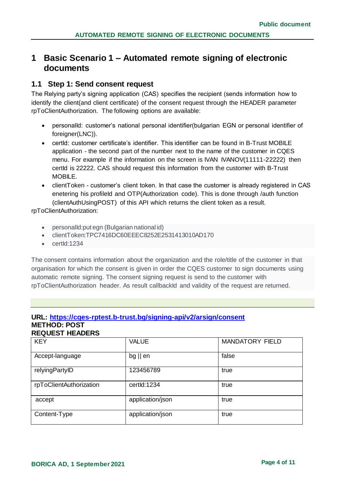## <span id="page-3-0"></span>**1 Basic Scenario 1 – Automated remote signing of electronic documents**

## <span id="page-3-1"></span>**1.1 Step 1: Send consent request**

The Relying party's signing application (CAS) specifies the recipient (sends information how to identify the client(and client certificate) of the consent request through the HEADER parameter rpToClientAuthorization. The following options are available:

- personalId: customer's national personal identifier(bulgarian EGN or personal identifier of foreigner(LNC)).
- certId: customer certificate's identifier. This identifier can be found in B-Trust MOBILE application - the second part of the number next to the name of the customer in CQES menu. For example if the information on the screen is IVAN IVANOV(11111-22222) then certId is 22222. CAS should request this information from the customer with B-Trust MOBILE.
- clientToken customer's client token. In that case the customer is already registered in CAS enetering his profileld and OTP(Authorization code). This is done through /auth function (clientAuthUsingPOST) of this API which returns the client token as a result.

#### rpToClientAuthorization:

- personalId:put egn (Bulgarian national id)
- clientToken:TPC7416DC60EEEC8252E2531413010AD170
- $\bullet$  certId:1234

The consent contains information about the organization and the role/title of the customer in that organisation for which the consent is given in order the CQES customer to sign documents using automatic remote signing. The consent signing request is send to the customer with rpToClientAuthorization header. As result callbackId and validity of the request are returned.

#### **URL: https://cqes-rptest.b-trust.bg/signing-api/v2/arsign/consent METHOD: POST REQUEST HEADERS**

| <b>KEY</b>              | <b>VALUE</b>      | <b>MANDATORY FIELD</b> |
|-------------------------|-------------------|------------------------|
| Accept-language         | $bg \parallel en$ | false                  |
| relyingPartyID          | 123456789         | true                   |
| rpToClientAuthorization | certld:1234       | true                   |
| accept                  | application/json  | true                   |
| Content-Type            | application/json  | true                   |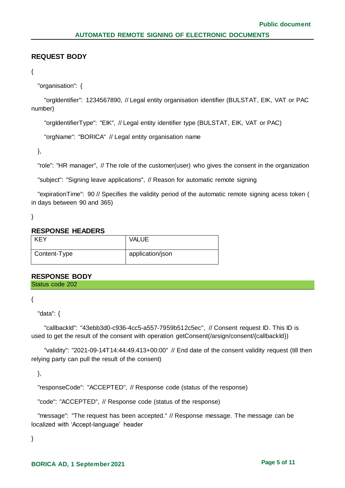### **REQUEST BODY**

```
{
```
"organisation": {

 "orgIdentifier": 1234567890, // Legal entity organisation identifier (BULSTAT, EIK, VAT or PAC number)

"orgIdentifierType": "EIK", // Legal entity identifier type (BULSTAT, EIK, VAT or PAC)

"orgName": "BORICA" // Legal entity organisation name

},

"role": "HR manager", // The role of the customer(user) who gives the consent in the organization

"subject": "Signing leave applications", // Reason for automatic remote signing

 "expirationTime": 90 // Specifies the validity period of the automatic remote signing acess token ( in days between 90 and 365)

}

#### **RESPONSE HEADERS**

| <b>KEY</b>   | <b>VALUE</b>     |
|--------------|------------------|
| Content-Type | application/json |

#### **RESPONSE BODY**

Status code 202

{

"data": {

 "callbackId": "43ebb3d0-c936-4cc5-a557-7959b512c5ec", // Consent request ID. This ID is used to get the result of the consent with operation getConsent(/arsign/consent/{callbackId})

 "validity": "2021-09-14T14:44:49.413+00:00" // End date of the consent validity request (till then relying party can pull the result of the consent)

},

"responseCode": "ACCEPTED", // Response code (status of the response)

"code": "ACCEPTED", // Response code (status of the response)

 "message": "The request has been accepted." // Response message. The message can be localized with 'Accept-language' header

}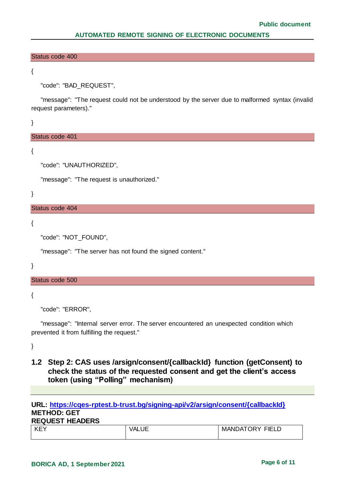#### Status code 400

{

"code": "BAD\_REQUEST",

 "message": "The request could not be understood by the server due to malformed syntax (invalid request parameters)."

}

#### Status code 401

{

"code": "UNAUTHORIZED",

"message": "The request is unauthorized."

}

#### Status code 404

{

```
 "code": "NOT_FOUND",
```
"message": "The server has not found the signed content."

}

#### Status code 500

{

```
 "code": "ERROR",
```
 "message": "Internal server error. The server encountered an unexpected condition which prevented it from fulfilling the request."

}

## <span id="page-5-0"></span>**1.2 Step 2: CAS uses /arsign/consent/{callbackId} function (getConsent) to check the status of the requested consent and get the client's access token (using "Polling" mechanism)**

#### **URL: [https://cqes-rptest.b-trust.bg/signing-api/v2/arsign/consent/{callbackId}](https://cqes-rptest.b-trust.bg/signing-api/v2/arsign/consent/%7bcallbackId%7d) METHOD: GET REQUEST HEADERS**

| KE<br>- - - - | _______ | FIEL<br>-<br><b>ANI</b><br>ìΔ<br>M<br>או |
|---------------|---------|------------------------------------------|
|               |         |                                          |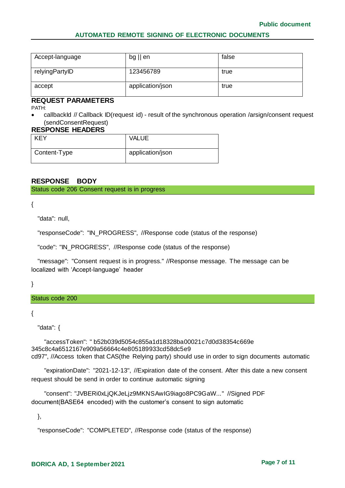| Accept-language | $bg \parallel en$ | false |
|-----------------|-------------------|-------|
| relyingPartyID  | 123456789         | true  |
| accept          | application/json  | true  |

#### **REQUEST PARAMETERS**

PATH:

 callbackId // Callback ID(request id) - result of the synchronous operation /arsign/consent request (sendConsentRequest)

#### **RESPONSE HEADERS**

| <b>KEY</b>   | <b>VALUE</b>     |
|--------------|------------------|
| Content-Type | application/json |

## **RESPONSE BODY**

Status code 206 Consent request is in progress

{

"data": null,

"responseCode": "IN\_PROGRESS", //Response code (status of the response)

"code": "IN\_PROGRESS", //Response code (status of the response)

 "message": "Consent request is in progress." //Response message. The message can be localized with 'Accept-language' header

}

#### Status code 200

{

"data": {

 "accessToken": " b52b039d5054c855a1d18328ba00021c7d0d38354c669e 345c8c4a6512167e909a56664c4e805189933cd58dc5e9 cd97", //Access token that CAS(the Relying party) should use in order to sign documents automatic

 "expirationDate": "2021-12-13", //Expiration date of the consent. After this date a new consent request should be send in order to continue automatic signing

 "consent": "JVBERi0xLjQKJeLjz9MKNSAwIG9iago8PC9GaW..." //Signed PDF document(BASE64 encoded) with the customer's consent to sign automatic

},

```
 "responseCode": "COMPLETED", //Response code (status of the response)
```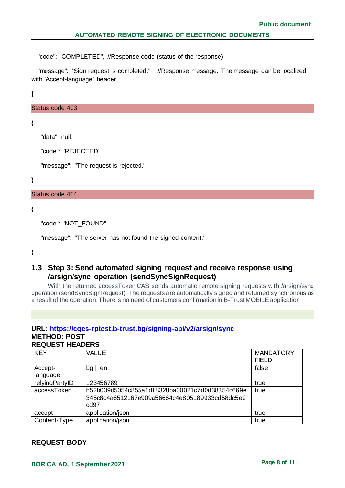"code": "COMPLETED", //Response code (status of the response)

 "message": "Sign request is completed." //Response message. The message can be localized with 'Accept-language' header

}

Status code 403

```
{
```
"data": null,

"code": "REJECTED",

"message": "The request is rejected."

}

Status code 404

{

```
 "code": "NOT_FOUND",
```
"message": "The server has not found the signed content."

}

## <span id="page-7-0"></span>**1.3 Step 3: Send automated signing request and receive response using /arsign/sync operation (sendSyncSignRequest)**

With the returned accessToken CAS sends automatic remote signing requests with /arsign/sync operation (sendSyncSignRequest). The requests are automatically signed and returned synchronous as a result of the operation. There is no need of customers confirmation in B-Trust MOBILE application

#### **URL:<https://cqes-rptest.b-trust.bg/signing-api/v2/arsign/sync> METHOD: POST REQUEST HEADERS**

KEY VALUE WARDATORY FIELD Acceptlanguage bg || en false relyingPartyID | 123456789 true true to the set of the set of the set of the set of the set of the set of the s accessToken b52b039d5054c855a1d18328ba00021c7d0d38354c669e 345c8c4a6512167e909a56664c4e805189933cd58dc5e9 cd97 true accept application/json accept application/json Content-Type application/json true true true true true true

#### **REQUEST BODY**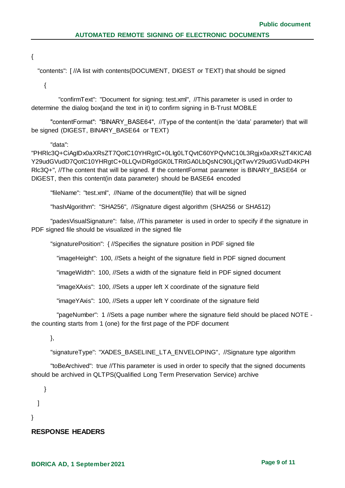{

"contents": [ //A list with contents(DOCUMENT, DIGEST or TEXT) that should be signed

{

 "confirmText": "Document for signing: test.xml", //This parameter is used in order to determine the dialog box(and the text in it) to confirm signing in B-Trust MOBILE

 "contentFormat": "BINARY\_BASE64", //Type of the content(in the 'data' parameter) that will be signed (DIGEST, BINARY\_BASE64\_or TEXT)

#### "data":

"PHRlc3Q+CiAgIDx0aXRsZT7QotC10YHRgtC+0LIg0LTQvtC60YPQvNC10L3Rgjx0aXRsZT4KICA8 Y29udGVudD7QotC10YHRgtC+0LLQviDRgdGK0LTRitGA0LbQsNC90LjQtTwvY29udGVudD4KPH Rlc3Q+", //The content that will be signed. If the contentFormat parameter is BINARY\_BASE64 or DIGEST, then this content(in data parameter) should be BASE64 encoded

"fileName": "test.xml", //Name of the document(file) that will be signed

"hashAlgorithm": "SHA256", //Signature digest algorithm (SHA256 or SHA512)

 "padesVisualSignature": false, //This parameter is used in order to specify if the signature in PDF signed file should be visualized in the signed file

"signaturePosition": { //Specifies the signature position in PDF signed file

"imageHeight": 100, //Sets a height of the signature field in PDF signed document

"imageWidth": 100, //Sets a width of the signature field in PDF signed document

"imageXAxis": 100, //Sets a upper left X coordinate of the signature field

"imageYAxis": 100, //Sets a upper left Y coordinate of the signature field

 "pageNumber": 1 //Sets a page number where the signature field should be placed NOTE the counting starts from 1 (one) for the first page of the PDF document

},

"signatureType": "XADES\_BASELINE\_LTA\_ENVELOPING", //Signature type algorithm

 "toBeArchived": true //This parameter is used in order to specify that the signed documents should be archived in QLTPS(Qualified Long Term Preservation Service) archive

]

}

}

#### **RESPONSE HEADERS**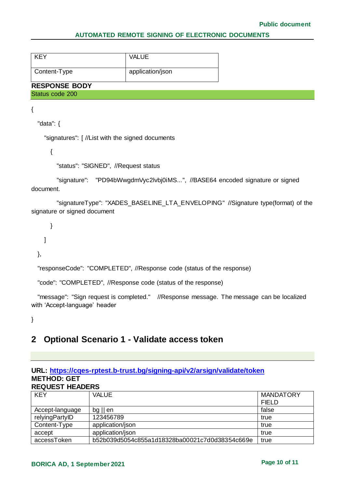| <b>KFY</b>           | <b>VALUE</b>     |  |
|----------------------|------------------|--|
| Content-Type         | application/json |  |
| <b>RESPONSE BODY</b> |                  |  |

# Status code 200

{

"data": {

"signatures": [ //List with the signed documents

{

"status": "SIGNED", //Request status

 "signature": "PD94bWwgdmVyc2lvbj0iMS...", //BASE64 encoded signature or signed document.

 "signatureType": "XADES\_BASELINE\_LTA\_ENVELOPING" //Signature type(format) of the signature or signed document

 } ] },

"responseCode": "COMPLETED", //Response code (status of the response)

"code": "COMPLETED", //Response code (status of the response)

 "message": "Sign request is completed." //Response message. The message can be localized with 'Accept-language' header

}

## <span id="page-9-0"></span>**2 Optional Scenario 1 - Validate access token**

#### **URL: https://cqes-rptest.b-trust.bg/signing-api/v2/arsign/validate/token METHOD: GET REQUEST HEADERS**

| <b>KEY</b>      | <b>VALUE</b>                                   | <b>MANDATORY</b> |
|-----------------|------------------------------------------------|------------------|
|                 |                                                | <b>FIELD</b>     |
| Accept-language | $bg \parallel en$                              | false            |
| relyingPartyID  | 123456789                                      | true             |
| Content-Type    | application/json                               | true             |
| accept          | application/json                               | true             |
| accessToken     | b52b039d5054c855a1d18328ba00021c7d0d38354c669e | true             |